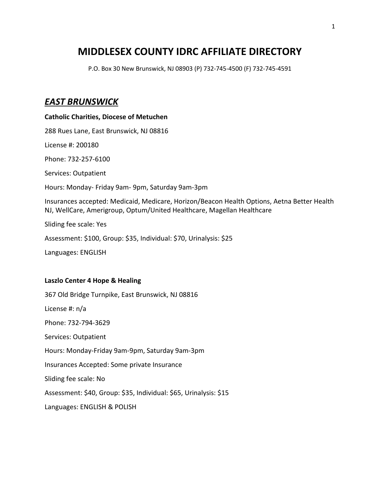## **MIDDLESEX COUNTY IDRC AFFILIATE DIRECTORY**

P.O. Box 30 New Brunswick, NJ 08903 (P) 732-745-4500 (F) 732-745-4591

## *EAST BRUNSWICK*

**Catholic Charities, Diocese of Metuchen** 288 Rues Lane, East Brunswick, NJ 08816 License #: 200180 Phone: 732-257-6100 Services: Outpatient Hours: Monday- Friday 9am- 9pm, Saturday 9am-3pm Insurances accepted: Medicaid, Medicare, Horizon/Beacon Health Options, Aetna Better Health NJ, WellCare, Amerigroup, Optum/United Healthcare, Magellan Healthcare Sliding fee scale: Yes Assessment: \$100, Group: \$35, Individual: \$70, Urinalysis: \$25 Languages: ENGLISH

#### **Laszlo Center 4 Hope & Healing**

367 Old Bridge Turnpike, East Brunswick, NJ 08816 License #: n/a Phone: 732-794-3629 Services: Outpatient Hours: Monday-Friday 9am-9pm, Saturday 9am-3pm Insurances Accepted: Some private Insurance Sliding fee scale: No Assessment: \$40, Group: \$35, Individual: \$65, Urinalysis: \$15 Languages: ENGLISH & POLISH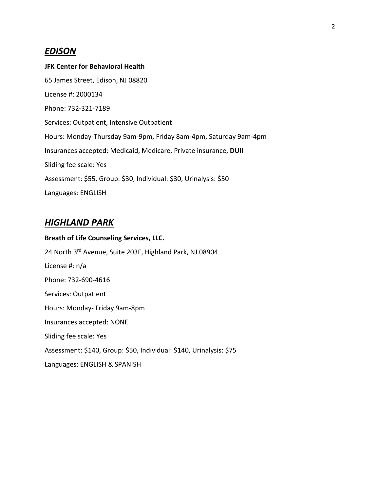## *EDISON*

## **JFK Center for Behavioral Health**

65 James Street, Edison, NJ 08820 License #: 2000134 Phone: 732-321-7189 Services: Outpatient, Intensive Outpatient Hours: Monday-Thursday 9am-9pm, Friday 8am-4pm, Saturday 9am-4pm Insurances accepted: Medicaid, Medicare, Private insurance, **DUII** Sliding fee scale: Yes Assessment: \$55, Group: \$30, Individual: \$30, Urinalysis: \$50 Languages: ENGLISH

## *HIGHLAND PARK*

# **Breath of Life Counseling Services, LLC.** 24 North 3rd Avenue, Suite 203F, Highland Park, NJ 08904 License #: n/a Phone: 732-690-4616 Services: Outpatient Hours: Monday- Friday 9am-8pm Insurances accepted: NONE Sliding fee scale: Yes Assessment: \$140, Group: \$50, Individual: \$140, Urinalysis: \$75 Languages: ENGLISH & SPANISH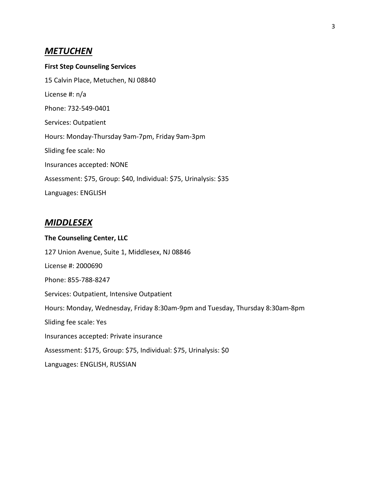### *METUCHEN*

**First Step Counseling Services** 15 Calvin Place, Metuchen, NJ 08840 License #: n/a Phone: 732-549-0401 Services: Outpatient Hours: Monday-Thursday 9am-7pm, Friday 9am-3pm Sliding fee scale: No Insurances accepted: NONE Assessment: \$75, Group: \$40, Individual: \$75, Urinalysis: \$35 Languages: ENGLISH

## *MIDDLESEX*

#### **The Counseling Center, LLC**

127 Union Avenue, Suite 1, Middlesex, NJ 08846 License #: 2000690 Phone: 855-788-8247 Services: Outpatient, Intensive Outpatient Hours: Monday, Wednesday, Friday 8:30am-9pm and Tuesday, Thursday 8:30am-8pm Sliding fee scale: Yes Insurances accepted: Private insurance Assessment: \$175, Group: \$75, Individual: \$75, Urinalysis: \$0 Languages: ENGLISH, RUSSIAN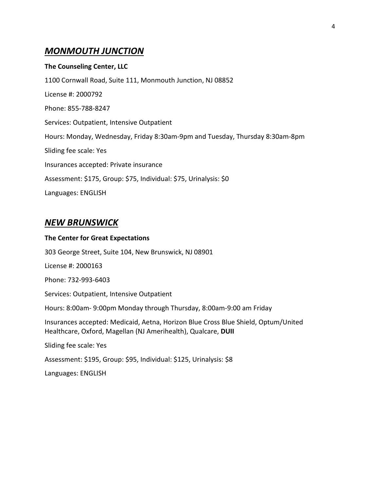## *MONMOUTH JUNCTION*

#### **The Counseling Center, LLC**

1100 Cornwall Road, Suite 111, Monmouth Junction, NJ 08852 License #: 2000792 Phone: 855-788-8247 Services: Outpatient, Intensive Outpatient Hours: Monday, Wednesday, Friday 8:30am-9pm and Tuesday, Thursday 8:30am-8pm Sliding fee scale: Yes Insurances accepted: Private insurance Assessment: \$175, Group: \$75, Individual: \$75, Urinalysis: \$0 Languages: ENGLISH

## *NEW BRUNSWICK*

Languages: ENGLISH

#### **The Center for Great Expectations**

303 George Street, Suite 104, New Brunswick, NJ 08901 License #: 2000163 Phone: 732-993-6403 Services: Outpatient, Intensive Outpatient Hours: 8:00am- 9:00pm Monday through Thursday, 8:00am-9:00 am Friday Insurances accepted: Medicaid, Aetna, Horizon Blue Cross Blue Shield, Optum/United Healthcare, Oxford, Magellan (NJ Amerihealth), Qualcare, **DUII** Sliding fee scale: Yes Assessment: \$195, Group: \$95, Individual: \$125, Urinalysis: \$8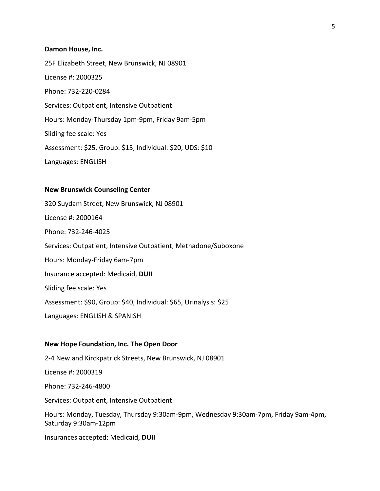#### **Damon House, Inc.**

25F Elizabeth Street, New Brunswick, NJ 08901 License #: 2000325 Phone: 732-220-0284 Services: Outpatient, Intensive Outpatient Hours: Monday-Thursday 1pm-9pm, Friday 9am-5pm Sliding fee scale: Yes Assessment: \$25, Group: \$15, Individual: \$20, UDS: \$10 Languages: ENGLISH

#### **New Brunswick Counseling Center**

320 Suydam Street, New Brunswick, NJ 08901 License #: 2000164 Phone: 732-246-4025 Services: Outpatient, Intensive Outpatient, Methadone/Suboxone Hours: Monday-Friday 6am-7pm Insurance accepted: Medicaid, **DUII** Sliding fee scale: Yes Assessment: \$90, Group: \$40, Individual: \$65, Urinalysis: \$25 Languages: ENGLISH & SPANISH

#### **New Hope Foundation, Inc. The Open Door**

2-4 New and Kirckpatrick Streets, New Brunswick, NJ 08901 License #: 2000319 Phone: 732-246-4800 Services: Outpatient, Intensive Outpatient Hours: Monday, Tuesday, Thursday 9:30am-9pm, Wednesday 9:30am-7pm, Friday 9am-4pm, Saturday 9:30am-12pm Insurances accepted: Medicaid, **DUII**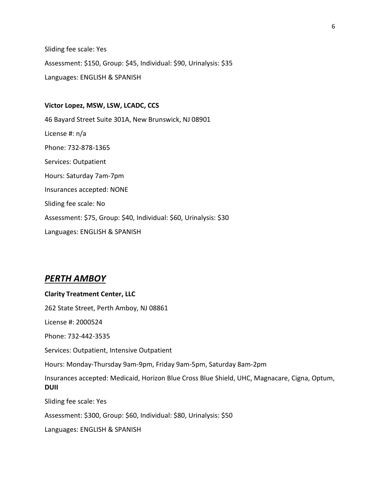Sliding fee scale: Yes Assessment: \$150, Group: \$45, Individual: \$90, Urinalysis: \$35 Languages: ENGLISH & SPANISH

**Victor Lopez, MSW, LSW, LCADC, CCS** 46 Bayard Street Suite 301A, New Brunswick, NJ 08901 License #: n/a Phone: 732-878-1365 Services: Outpatient Hours: Saturday 7am-7pm Insurances accepted: NONE Sliding fee scale: No Assessment: \$75, Group: \$40, Individual: \$60, Urinalysis: \$30 Languages: ENGLISH & SPANISH

### *PERTH AMBOY*

## **Clarity Treatment Center, LLC** 262 State Street, Perth Amboy, NJ 08861 License #: 2000524 Phone: 732-442-3535 Services: Outpatient, Intensive Outpatient Hours: Monday-Thursday 9am-9pm, Friday 9am-5pm, Saturday 8am-2pm Insurances accepted: Medicaid, Horizon Blue Cross Blue Shield, UHC, Magnacare, Cigna, Optum, **DUII** Sliding fee scale: Yes Assessment: \$300, Group: \$60, Individual: \$80, Urinalysis: \$50 Languages: ENGLISH & SPANISH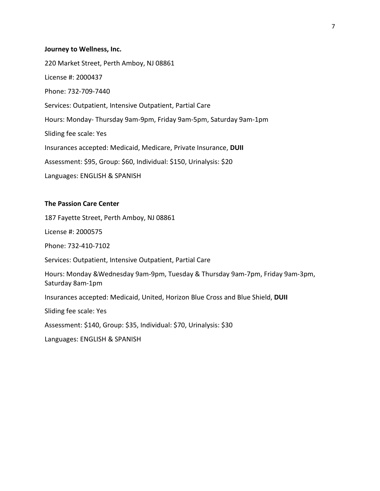#### **Journey to Wellness, Inc.**

220 Market Street, Perth Amboy, NJ 08861 License #: 2000437 Phone: 732-709-7440 Services: Outpatient, Intensive Outpatient, Partial Care Hours: Monday- Thursday 9am-9pm, Friday 9am-5pm, Saturday 9am-1pm Sliding fee scale: Yes Insurances accepted: Medicaid, Medicare, Private Insurance, **DUII** Assessment: \$95, Group: \$60, Individual: \$150, Urinalysis: \$20 Languages: ENGLISH & SPANISH

#### **The Passion Care Center**

187 Fayette Street, Perth Amboy, NJ 08861

License #: 2000575

Phone: 732-410-7102

Services: Outpatient, Intensive Outpatient, Partial Care

Hours: Monday &Wednesday 9am-9pm, Tuesday & Thursday 9am-7pm, Friday 9am-3pm, Saturday 8am-1pm

Insurances accepted: Medicaid, United, Horizon Blue Cross and Blue Shield, **DUII**

Sliding fee scale: Yes

Assessment: \$140, Group: \$35, Individual: \$70, Urinalysis: \$30

Languages: ENGLISH & SPANISH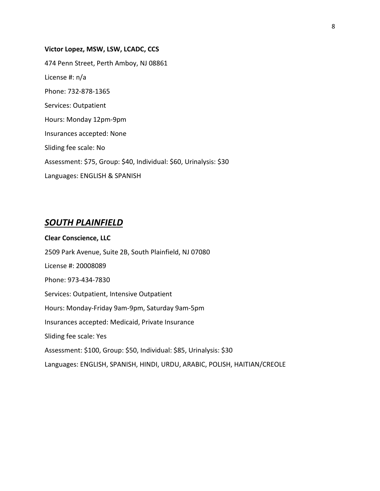# **Victor Lopez, MSW, LSW, LCADC, CCS** 474 Penn Street, Perth Amboy, NJ 08861 License #: n/a Phone: 732-878-1365 Services: Outpatient Hours: Monday 12pm-9pm Insurances accepted: None Sliding fee scale: No Assessment: \$75, Group: \$40, Individual: \$60, Urinalysis: \$30 Languages: ENGLISH & SPANISH

## *SOUTH PLAINFIELD*

**Clear Conscience, LLC** 2509 Park Avenue, Suite 2B, South Plainfield, NJ 07080 License #: 20008089 Phone: 973-434-7830 Services: Outpatient, Intensive Outpatient Hours: Monday-Friday 9am-9pm, Saturday 9am-5pm Insurances accepted: Medicaid, Private Insurance Sliding fee scale: Yes Assessment: \$100, Group: \$50, Individual: \$85, Urinalysis: \$30 Languages: ENGLISH, SPANISH, HINDI, URDU, ARABIC, POLISH, HAITIAN/CREOLE